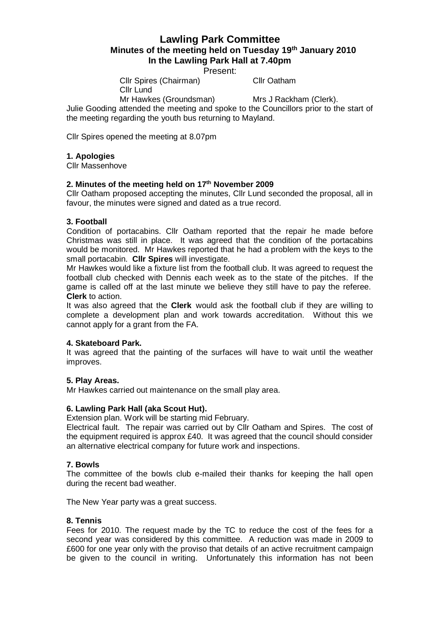# **Lawling Park Committee Minutes of the meeting held on Tuesday 19th January 2010 In the Lawling Park Hall at 7.40pm**

Present:

Cllr Spires (Chairman) Cllr Oatham Cllr Lund

Mr Hawkes (Groundsman) Mrs J Rackham (Clerk).

Julie Gooding attended the meeting and spoke to the Councillors prior to the start of the meeting regarding the youth bus returning to Mayland.

Cllr Spires opened the meeting at 8.07pm

# **1. Apologies**

Cllr Massenhove

# **2. Minutes of the meeting held on 17th November 2009**

Cllr Oatham proposed accepting the minutes, Cllr Lund seconded the proposal, all in favour, the minutes were signed and dated as a true record.

# **3. Football**

Condition of portacabins. Cllr Oatham reported that the repair he made before Christmas was still in place. It was agreed that the condition of the portacabins would be monitored. Mr Hawkes reported that he had a problem with the keys to the small portacabin. **Cllr Spires** will investigate.

Mr Hawkes would like a fixture list from the football club. It was agreed to request the football club checked with Dennis each week as to the state of the pitches. If the game is called off at the last minute we believe they still have to pay the referee. **Clerk** to action.

It was also agreed that the **Clerk** would ask the football club if they are willing to complete a development plan and work towards accreditation. Without this we cannot apply for a grant from the FA.

## **4. Skateboard Park.**

It was agreed that the painting of the surfaces will have to wait until the weather improves.

#### **5. Play Areas.**

Mr Hawkes carried out maintenance on the small play area.

#### **6. Lawling Park Hall (aka Scout Hut).**

Extension plan. Work will be starting mid February.

Electrical fault. The repair was carried out by Cllr Oatham and Spires. The cost of the equipment required is approx £40. It was agreed that the council should consider an alternative electrical company for future work and inspections.

#### **7. Bowls**

The committee of the bowls club e-mailed their thanks for keeping the hall open during the recent bad weather.

The New Year party was a great success.

#### **8. Tennis**

Fees for 2010. The request made by the TC to reduce the cost of the fees for a second year was considered by this committee. A reduction was made in 2009 to £600 for one year only with the proviso that details of an active recruitment campaign be given to the council in writing. Unfortunately this information has not been